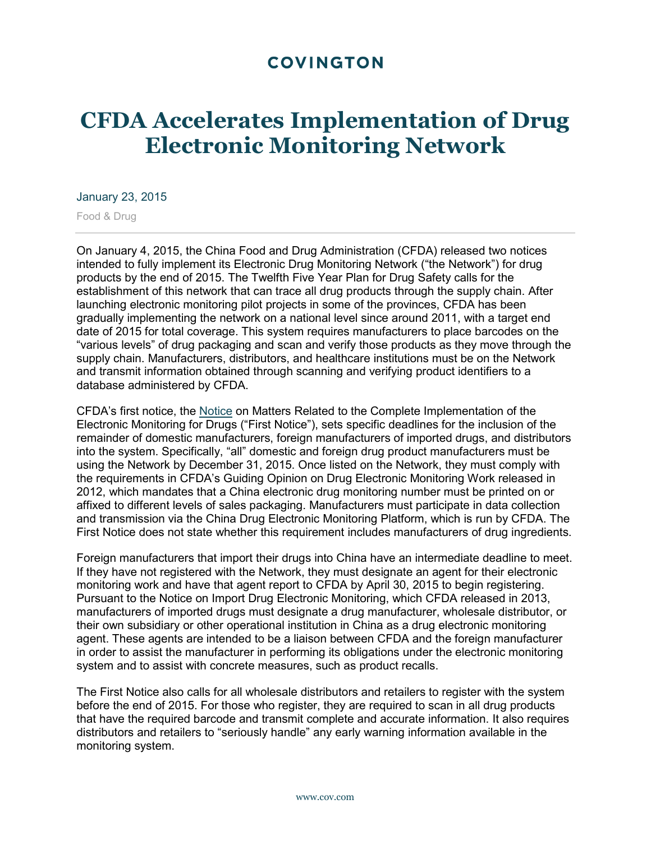## **COVINGTON**

## **CFDA Accelerates Implementation of Drug Electronic Monitoring Network**

## January 23, 2015

Food & Drug

On January 4, 2015, the China Food and Drug Administration (CFDA) released two notices intended to fully implement its Electronic Drug Monitoring Network ("the Network") for drug products by the end of 2015. The Twelfth Five Year Plan for Drug Safety calls for the establishment of this network that can trace all drug products through the supply chain. After launching electronic monitoring pilot projects in some of the provinces, CFDA has been gradually implementing the network on a national level since around 2011, with a target end date of 2015 for total coverage. This system requires manufacturers to place barcodes on the "various levels" of drug packaging and scan and verify those products as they move through the supply chain. Manufacturers, distributors, and healthcare institutions must be on the Network and transmit information obtained through scanning and verifying product identifiers to a database administered by CFDA.

CFDA's first notice, the [Notice](http://www.cfda.gov.cn/WS01/CL0087/111943.html) on Matters Related to the Complete Implementation of the Electronic Monitoring for Drugs ("First Notice"), sets specific deadlines for the inclusion of the remainder of domestic manufacturers, foreign manufacturers of imported drugs, and distributors into the system. Specifically, "all" domestic and foreign drug product manufacturers must be using the Network by December 31, 2015. Once listed on the Network, they must comply with the requirements in CFDA's Guiding Opinion on Drug Electronic Monitoring Work released in 2012, which mandates that a China electronic drug monitoring number must be printed on or affixed to different levels of sales packaging. Manufacturers must participate in data collection and transmission via the China Drug Electronic Monitoring Platform, which is run by CFDA. The First Notice does not state whether this requirement includes manufacturers of drug ingredients.

Foreign manufacturers that import their drugs into China have an intermediate deadline to meet. If they have not registered with the Network, they must designate an agent for their electronic monitoring work and have that agent report to CFDA by April 30, 2015 to begin registering. Pursuant to the Notice on Import Drug Electronic Monitoring, which CFDA released in 2013, manufacturers of imported drugs must designate a drug manufacturer, wholesale distributor, or their own subsidiary or other operational institution in China as a drug electronic monitoring agent. These agents are intended to be a liaison between CFDA and the foreign manufacturer in order to assist the manufacturer in performing its obligations under the electronic monitoring system and to assist with concrete measures, such as product recalls.

The First Notice also calls for all wholesale distributors and retailers to register with the system before the end of 2015. For those who register, they are required to scan in all drug products that have the required barcode and transmit complete and accurate information. It also requires distributors and retailers to "seriously handle" any early warning information available in the monitoring system.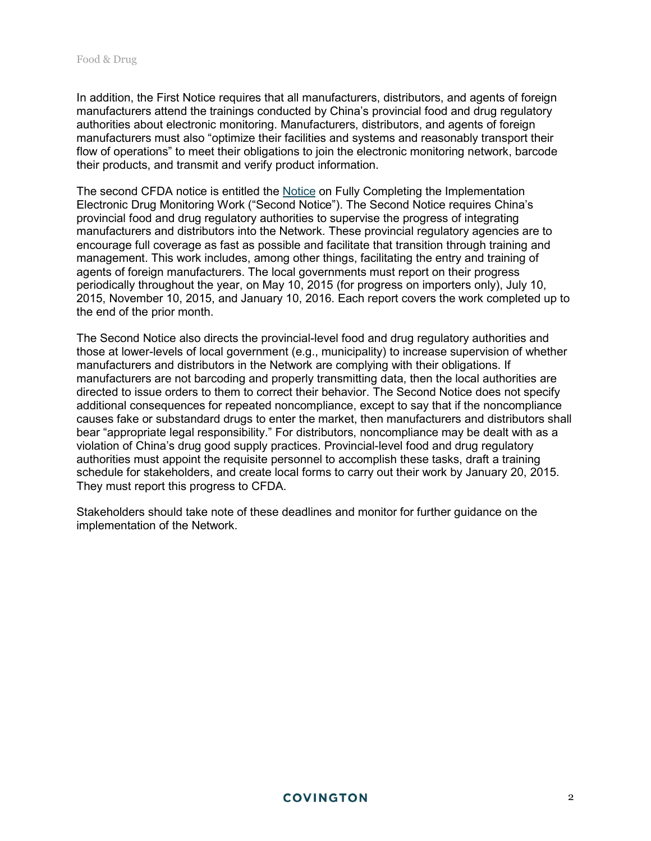In addition, the First Notice requires that all manufacturers, distributors, and agents of foreign manufacturers attend the trainings conducted by China's provincial food and drug regulatory authorities about electronic monitoring. Manufacturers, distributors, and agents of foreign manufacturers must also "optimize their facilities and systems and reasonably transport their flow of operations" to meet their obligations to join the electronic monitoring network, barcode their products, and transmit and verify product information.

The second CFDA notice is entitled the [Notice](http://www.cfda.gov.cn/WS01/CL0844/112256.html) on Fully Completing the Implementation Electronic Drug Monitoring Work ("Second Notice"). The Second Notice requires China's provincial food and drug regulatory authorities to supervise the progress of integrating manufacturers and distributors into the Network. These provincial regulatory agencies are to encourage full coverage as fast as possible and facilitate that transition through training and management. This work includes, among other things, facilitating the entry and training of agents of foreign manufacturers. The local governments must report on their progress periodically throughout the year, on May 10, 2015 (for progress on importers only), July 10, 2015, November 10, 2015, and January 10, 2016. Each report covers the work completed up to the end of the prior month.

The Second Notice also directs the provincial-level food and drug regulatory authorities and those at lower-levels of local government (e.g., municipality) to increase supervision of whether manufacturers and distributors in the Network are complying with their obligations. If manufacturers are not barcoding and properly transmitting data, then the local authorities are directed to issue orders to them to correct their behavior. The Second Notice does not specify additional consequences for repeated noncompliance, except to say that if the noncompliance causes fake or substandard drugs to enter the market, then manufacturers and distributors shall bear "appropriate legal responsibility." For distributors, noncompliance may be dealt with as a violation of China's drug good supply practices. Provincial-level food and drug regulatory authorities must appoint the requisite personnel to accomplish these tasks, draft a training schedule for stakeholders, and create local forms to carry out their work by January 20, 2015. They must report this progress to CFDA.

Stakeholders should take note of these deadlines and monitor for further guidance on the implementation of the Network.